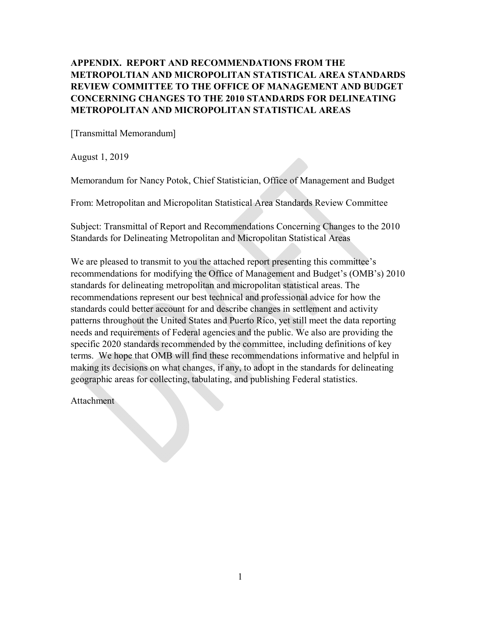# **APPENDIX. REPORT AND RECOMMENDATIONS FROM THE METROPOLTIAN AND MICROPOLITAN STATISTICAL AREA STANDARDS REVIEW COMMITTEE TO THE OFFICE OF MANAGEMENT AND BUDGET CONCERNING CHANGES TO THE 2010 STANDARDS FOR DELINEATING METROPOLITAN AND MICROPOLITAN STATISTICAL AREAS**

[Transmittal Memorandum]

August 1, 2019

Memorandum for Nancy Potok, Chief Statistician, Office of Management and Budget

From: Metropolitan and Micropolitan Statistical Area Standards Review Committee

Subject: Transmittal of Report and Recommendations Concerning Changes to the 2010 Standards for Delineating Metropolitan and Micropolitan Statistical Areas

We are pleased to transmit to you the attached report presenting this committee's recommendations for modifying the Office of Management and Budget's (OMB's) 2010 standards for delineating metropolitan and micropolitan statistical areas. The recommendations represent our best technical and professional advice for how the standards could better account for and describe changes in settlement and activity patterns throughout the United States and Puerto Rico, yet still meet the data reporting needs and requirements of Federal agencies and the public. We also are providing the specific 2020 standards recommended by the committee, including definitions of key terms. We hope that OMB will find these recommendations informative and helpful in making its decisions on what changes, if any, to adopt in the standards for delineating geographic areas for collecting, tabulating, and publishing Federal statistics.

Attachment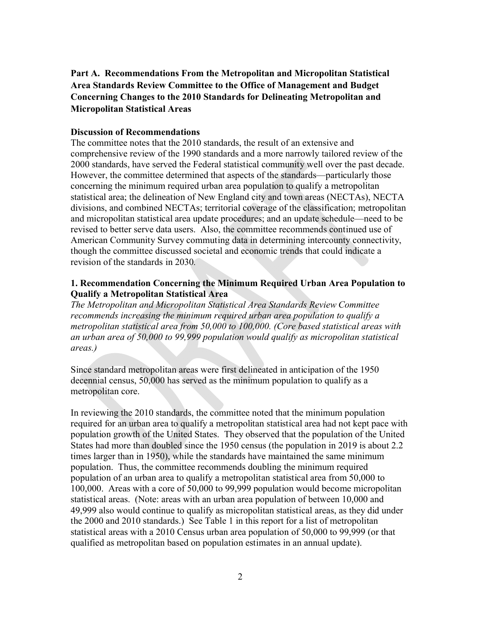**Part A. Recommendations From the Metropolitan and Micropolitan Statistical Area Standards Review Committee to the Office of Management and Budget Concerning Changes to the 2010 Standards for Delineating Metropolitan and Micropolitan Statistical Areas** 

### **Discussion of Recommendations**

The committee notes that the 2010 standards, the result of an extensive and comprehensive review of the 1990 standards and a more narrowly tailored review of the 2000 standards, have served the Federal statistical community well over the past decade. However, the committee determined that aspects of the standards—particularly those concerning the minimum required urban area population to qualify a metropolitan statistical area; the delineation of New England city and town areas (NECTAs), NECTA divisions, and combined NECTAs; territorial coverage of the classification; metropolitan and micropolitan statistical area update procedures; and an update schedule—need to be revised to better serve data users. Also, the committee recommends continued use of American Community Survey commuting data in determining intercounty connectivity, though the committee discussed societal and economic trends that could indicate a revision of the standards in 2030*.*

## **1. Recommendation Concerning the Minimum Required Urban Area Population to Qualify a Metropolitan Statistical Area**

*The Metropolitan and Micropolitan Statistical Area Standards Review Committee recommends increasing the minimum required urban area population to qualify a metropolitan statistical area from 50,000 to 100,000. (Core based statistical areas with an urban area of 50,000 to 99,999 population would qualify as micropolitan statistical areas.)* 

Since standard metropolitan areas were first delineated in anticipation of the 1950 decennial census, 50,000 has served as the minimum population to qualify as a metropolitan core.

In reviewing the 2010 standards, the committee noted that the minimum population required for an urban area to qualify a metropolitan statistical area had not kept pace with population growth of the United States. They observed that the population of the United States had more than doubled since the 1950 census (the population in 2019 is about 2.2 times larger than in 1950), while the standards have maintained the same minimum population. Thus, the committee recommends doubling the minimum required population of an urban area to qualify a metropolitan statistical area from 50,000 to 100,000. Areas with a core of 50,000 to 99,999 population would become micropolitan statistical areas. (Note: areas with an urban area population of between 10,000 and 49,999 also would continue to qualify as micropolitan statistical areas, as they did under the 2000 and 2010 standards.) See Table 1 in this report for a list of metropolitan statistical areas with a 2010 Census urban area population of 50,000 to 99,999 (or that qualified as metropolitan based on population estimates in an annual update).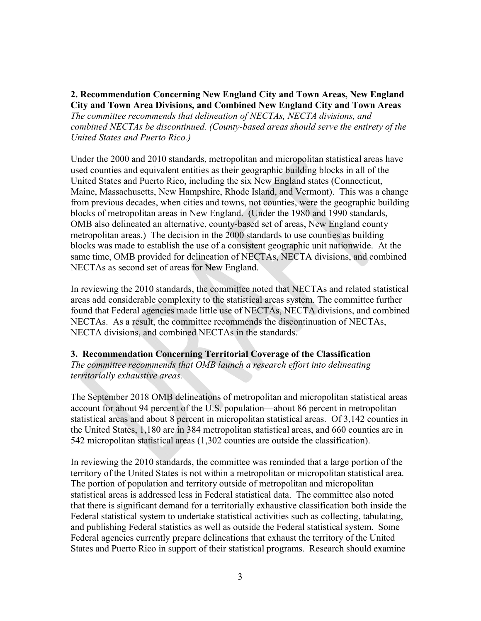## **2. Recommendation Concerning New England City and Town Areas, New England City and Town Area Divisions, and Combined New England City and Town Areas**

*The committee recommends that delineation of NECTAs, NECTA divisions, and combined NECTAs be discontinued. (County-based areas should serve the entirety of the United States and Puerto Rico.)* 

Under the 2000 and 2010 standards, metropolitan and micropolitan statistical areas have used counties and equivalent entities as their geographic building blocks in all of the United States and Puerto Rico, including the six New England states (Connecticut, Maine, Massachusetts, New Hampshire, Rhode Island, and Vermont). This was a change from previous decades, when cities and towns, not counties, were the geographic building blocks of metropolitan areas in New England. (Under the 1980 and 1990 standards, OMB also delineated an alternative, county-based set of areas, New England county metropolitan areas.) The decision in the 2000 standards to use counties as building blocks was made to establish the use of a consistent geographic unit nationwide. At the same time, OMB provided for delineation of NECTAs, NECTA divisions, and combined NECTAs as second set of areas for New England.

In reviewing the 2010 standards, the committee noted that NECTAs and related statistical areas add considerable complexity to the statistical areas system. The committee further found that Federal agencies made little use of NECTAs, NECTA divisions, and combined NECTAs. As a result, the committee recommends the discontinuation of NECTAs, NECTA divisions, and combined NECTAs in the standards.

# **3. Recommendation Concerning Territorial Coverage of the Classification**

*The committee recommends that OMB launch a research effort into delineating territorially exhaustive areas.*

The September 2018 OMB delineations of metropolitan and micropolitan statistical areas account for about 94 percent of the U.S. population—about 86 percent in metropolitan statistical areas and about 8 percent in micropolitan statistical areas. Of 3,142 counties in the United States, 1,180 are in 384 metropolitan statistical areas, and 660 counties are in 542 micropolitan statistical areas (1,302 counties are outside the classification).

In reviewing the 2010 standards, the committee was reminded that a large portion of the territory of the United States is not within a metropolitan or micropolitan statistical area. The portion of population and territory outside of metropolitan and micropolitan statistical areas is addressed less in Federal statistical data. The committee also noted that there is significant demand for a territorially exhaustive classification both inside the Federal statistical system to undertake statistical activities such as collecting, tabulating, and publishing Federal statistics as well as outside the Federal statistical system. Some Federal agencies currently prepare delineations that exhaust the territory of the United States and Puerto Rico in support of their statistical programs. Research should examine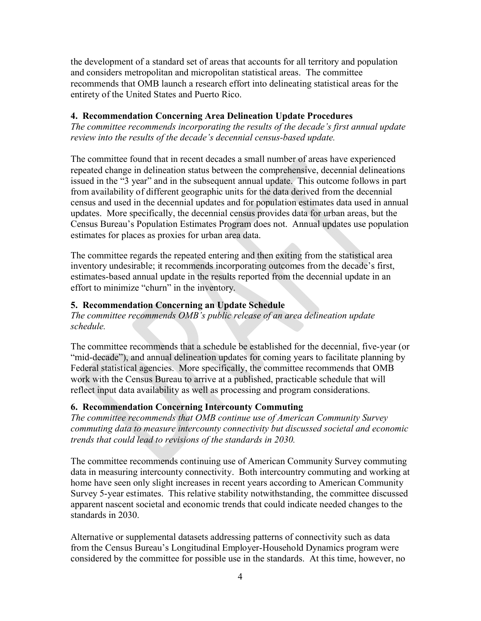the development of a standard set of areas that accounts for all territory and population and considers metropolitan and micropolitan statistical areas. The committee recommends that OMB launch a research effort into delineating statistical areas for the entirety of the United States and Puerto Rico.

# **4. Recommendation Concerning Area Delineation Update Procedures**

*The committee recommends incorporating the results of the decade's first annual update review into the results of the decade's decennial census-based update.*

The committee found that in recent decades a small number of areas have experienced repeated change in delineation status between the comprehensive, decennial delineations issued in the "3 year" and in the subsequent annual update. This outcome follows in part from availability of different geographic units for the data derived from the decennial census and used in the decennial updates and for population estimates data used in annual updates. More specifically, the decennial census provides data for urban areas, but the Census Bureau's Population Estimates Program does not. Annual updates use population estimates for places as proxies for urban area data.

The committee regards the repeated entering and then exiting from the statistical area inventory undesirable; it recommends incorporating outcomes from the decade's first, estimates-based annual update in the results reported from the decennial update in an effort to minimize "churn" in the inventory.

# **5. Recommendation Concerning an Update Schedule**

*The committee recommends OMB's public release of an area delineation update schedule.*

The committee recommends that a schedule be established for the decennial, five-year (or "mid-decade"), and annual delineation updates for coming years to facilitate planning by Federal statistical agencies. More specifically, the committee recommends that OMB work with the Census Bureau to arrive at a published, practicable schedule that will reflect input data availability as well as processing and program considerations.

# **6. Recommendation Concerning Intercounty Commuting**

*The committee recommends that OMB continue use of American Community Survey commuting data to measure intercounty connectivity but discussed societal and economic trends that could lead to revisions of the standards in 2030.*

The committee recommends continuing use of American Community Survey commuting data in measuring intercounty connectivity. Both intercountry commuting and working at home have seen only slight increases in recent years according to American Community Survey 5-year estimates. This relative stability notwithstanding, the committee discussed apparent nascent societal and economic trends that could indicate needed changes to the standards in 2030.

Alternative or supplemental datasets addressing patterns of connectivity such as data from the Census Bureau's Longitudinal Employer-Household Dynamics program were considered by the committee for possible use in the standards. At this time, however, no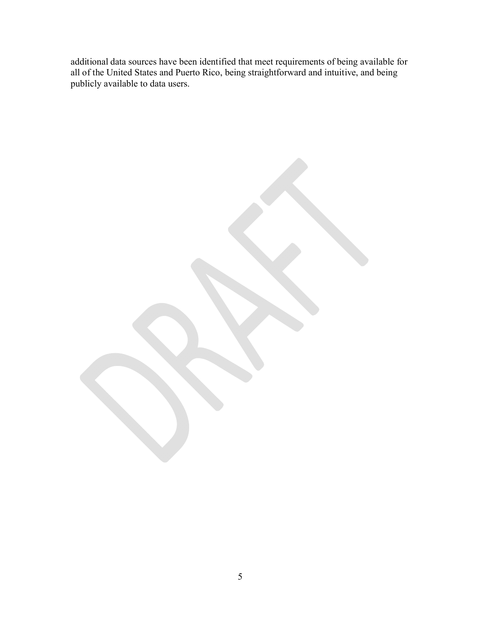additional data sources have been identified that meet requirements of being available for all of the United States and Puerto Rico, being straightforward and intuitive, and being publicly available to data users.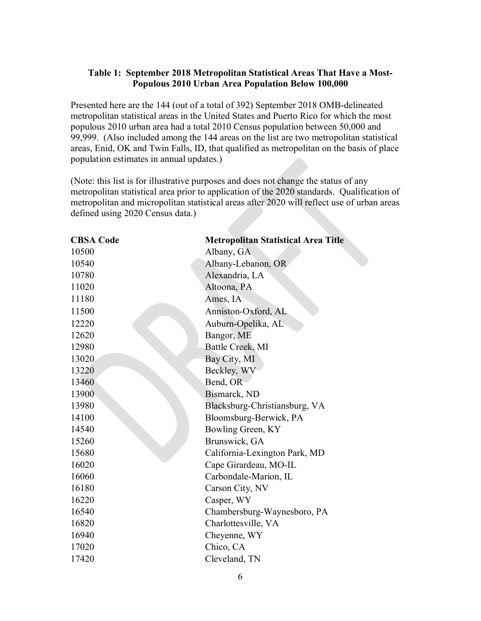# **Table 1: September 2018 Metropolitan Statistical Areas That Have a Most-Populous 2010 Urban Area Population Below 100,000**

Presented here are the 144 (out of a total of 392) September 2018 OMB-delineated metropolitan statistical areas in the United States and Puerto Rico for which the most populous 2010 urban area had a total 2010 Census population between 50,000 and 99,999. (Also included among the 144 areas on the list are two metropolitan statistical areas, Enid, OK and Twin Falls, ID, that qualified as metropolitan on the basis of place population estimates in annual updates.)

(Note: this list is for illustrative purposes and does not change the status of any metropolitan statistical area prior to application of the 2020 standards. Qualification of metropolitan and micropolitan statistical areas after 2020 will reflect use of urban areas defined using 2020 Census data.)

| <b>CBSA Code</b> | <b>Metropolitan Statistical Area Title</b> |
|------------------|--------------------------------------------|
| 10500            | Albany, GA                                 |
| 10540            | Albany-Lebanon, OR                         |
| 10780            | Alexandria, LA                             |
| 11020            | Altoona, PA                                |
| 11180            | Ames, IA                                   |
| 11500            | Anniston-Oxford, AL                        |
| 12220            | Auburn-Opelika, AL                         |
| 12620            | Bangor, ME                                 |
| 12980            | Battle Creek, MI                           |
| 13020            | Bay City, MI                               |
| 13220            | Beckley, WV                                |
| 13460            | Bend, OR                                   |
| 13900            | Bismarck, ND                               |
| 13980            | Blacksburg-Christiansburg, VA              |
| 14100            | Bloomsburg-Berwick, PA                     |
| 14540            | Bowling Green, KY                          |
| 15260            | Brunswick, GA                              |
| 15680            | California-Lexington Park, MD              |
| 16020            | Cape Girardeau, MO-IL                      |
| 16060            | Carbondale-Marion, IL                      |
| 16180            | Carson City, NV                            |
| 16220            | Casper, WY                                 |
| 16540            | Chambersburg-Waynesboro, PA                |
| 16820            | Charlottesville, VA                        |
| 16940            | Cheyenne, WY                               |
| 17020            | Chico, CA                                  |
| 17420            | Cleveland, TN                              |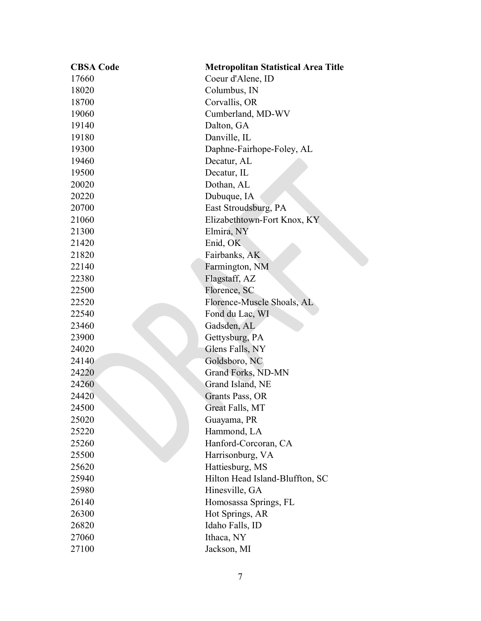| <b>CBSA Code</b> | <b>Metropolitan Statistical Area Title</b> |
|------------------|--------------------------------------------|
| 17660            | Coeur d'Alene, ID                          |
| 18020            | Columbus, IN                               |
| 18700            | Corvallis, OR                              |
| 19060            | Cumberland, MD-WV                          |
| 19140            | Dalton, GA                                 |
| 19180            | Danville, IL                               |
| 19300            | Daphne-Fairhope-Foley, AL                  |
| 19460            | Decatur, AL                                |
| 19500            | Decatur, IL                                |
| 20020            | Dothan, AL                                 |
| 20220            | Dubuque, IA                                |
| 20700            | East Stroudsburg, PA                       |
| 21060            | Elizabethtown-Fort Knox, KY                |
| 21300            | Elmira, NY                                 |
| 21420            | Enid, OK                                   |
| 21820            | Fairbanks, AK                              |
| 22140            | Farmington, NM                             |
| 22380            | Flagstaff, AZ                              |
| 22500            | Florence, SC                               |
| 22520            | Florence-Muscle Shoals, AL                 |
| 22540            | Fond du Lac, WI                            |
| 23460            | Gadsden, AL                                |
| 23900            | Gettysburg, PA                             |
| 24020            | Glens Falls, NY                            |
| 24140            | Goldsboro, NC                              |
| 24220            | Grand Forks, ND-MN                         |
| 24260            | Grand Island, NE                           |
| 24420            | Grants Pass, OR                            |
| 24500            | Great Falls, MT                            |
| 25020            | Guayama, PR                                |
| 25220            | Hammond, LA                                |
| 25260            | Hanford-Corcoran, CA                       |
| 25500            | Harrisonburg, VA                           |
| 25620            | Hattiesburg, MS                            |
| 25940            | Hilton Head Island-Bluffton, SC            |
| 25980            | Hinesville, GA                             |
| 26140            | Homosassa Springs, FL                      |
| 26300            | Hot Springs, AR                            |
| 26820            | Idaho Falls, ID                            |
| 27060            | Ithaca, NY                                 |
| 27100            | Jackson, MI                                |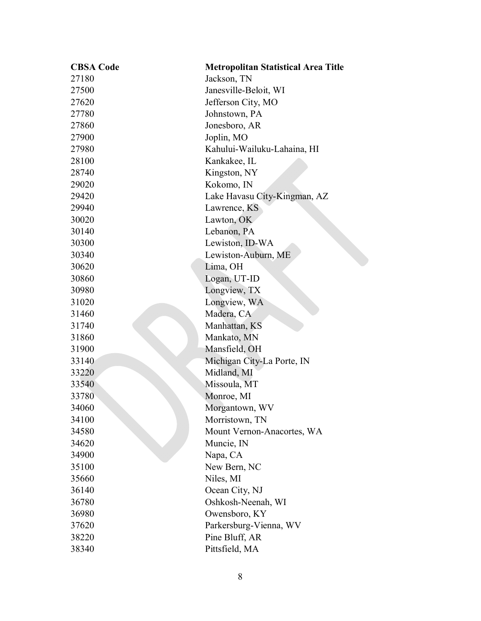| <b>CBSA Code</b> | <b>Metropolitan Statistical Area Title</b> |
|------------------|--------------------------------------------|
| 27180            | Jackson, TN                                |
| 27500            | Janesville-Beloit, WI                      |
| 27620            | Jefferson City, MO                         |
| 27780            | Johnstown, PA                              |
| 27860            | Jonesboro, AR                              |
| 27900            | Joplin, MO                                 |
| 27980            | Kahului-Wailuku-Lahaina, HI                |
| 28100            | Kankakee, IL                               |
| 28740            | Kingston, NY                               |
| 29020            | Kokomo, IN                                 |
| 29420            | Lake Havasu City-Kingman, AZ               |
| 29940            | Lawrence, KS                               |
| 30020            | Lawton, OK                                 |
| 30140            | Lebanon, PA                                |
| 30300            | Lewiston, ID-WA                            |
| 30340            | Lewiston-Auburn, ME                        |
| 30620            | Lima, OH                                   |
| 30860            | Logan, UT-ID                               |
| 30980            | Longview, TX                               |
| 31020            | Longview, WA                               |
| 31460            | Madera, CA                                 |
| 31740            | Manhattan, KS                              |
| 31860            | Mankato, MN                                |
| 31900            | Mansfield, OH                              |
| 33140            | Michigan City-La Porte, IN                 |
| 33220            | Midland, MI                                |
| 33540            | Missoula, MT                               |
| 33780            | Monroe, MI                                 |
| 34060            | Morgantown, WV                             |
| 34100            | Morristown, TN                             |
| 34580            | Mount Vernon-Anacortes, WA                 |
| 34620            | Muncie, IN                                 |
| 34900            | Napa, CA                                   |
| 35100            | New Bern, NC                               |
| 35660            | Niles, MI                                  |
| 36140            | Ocean City, NJ                             |
| 36780            | Oshkosh-Neenah, WI                         |
| 36980            | Owensboro, KY                              |
| 37620            | Parkersburg-Vienna, WV                     |
| 38220            | Pine Bluff, AR                             |
| 38340            | Pittsfield, MA                             |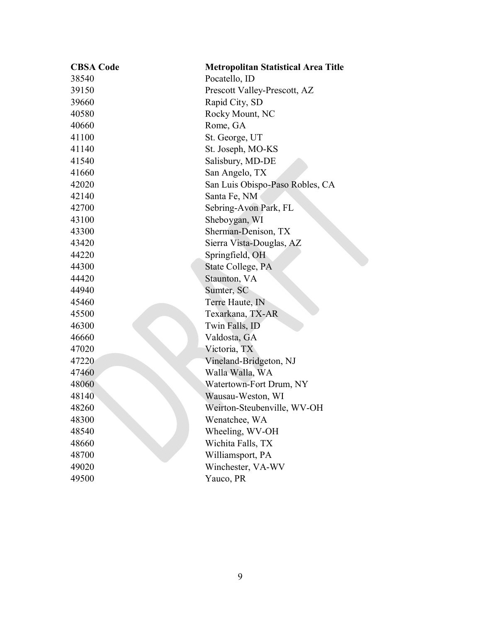| <b>CBSA Code</b> | <b>Metropolitan Statistical Area Title</b> |
|------------------|--------------------------------------------|
| 38540            | Pocatello, ID                              |
| 39150            | Prescott Valley-Prescott, AZ               |
| 39660            | Rapid City, SD                             |
| 40580            | Rocky Mount, NC                            |
| 40660            | Rome, GA                                   |
| 41100            | St. George, UT                             |
| 41140            | St. Joseph, MO-KS                          |
| 41540            | Salisbury, MD-DE                           |
| 41660            | San Angelo, TX                             |
| 42020            | San Luis Obispo-Paso Robles, CA            |
| 42140            | Santa Fe, NM                               |
| 42700            | Sebring-Avon Park, FL                      |
| 43100            | Sheboygan, WI                              |
| 43300            | Sherman-Denison, TX                        |
| 43420            | Sierra Vista-Douglas, AZ                   |
| 44220            | Springfield, OH                            |
| 44300            | State College, PA                          |
| 44420            | Staunton, VA                               |
| 44940            | Sumter, SC                                 |
| 45460            | Terre Haute, IN                            |
| 45500            | Texarkana, TX-AR                           |
| 46300            | Twin Falls, ID                             |
| 46660            | Valdosta, GA                               |
| 47020            | Victoria, TX                               |
| 47220            | Vineland-Bridgeton, NJ                     |
| 47460            | Walla Walla, WA                            |
| 48060            | Watertown-Fort Drum, NY                    |
| 48140            | Wausau-Weston, WI                          |
| 48260            | Weirton-Steubenville, WV-OH                |
| 48300            | Wenatchee, WA                              |
| 48540            | Wheeling, WV-OH                            |
| 48660            | Wichita Falls, TX                          |
| 48700            | Williamsport, PA                           |
| 49020            | Winchester, VA-WV                          |
| 49500            | Yauco, PR                                  |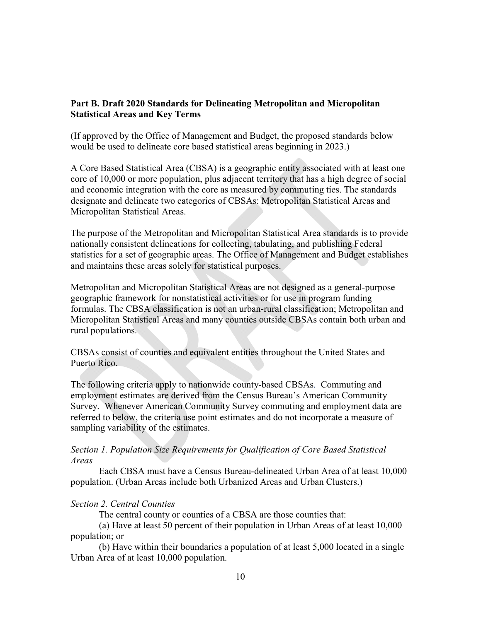# **Part B. Draft 2020 Standards for Delineating Metropolitan and Micropolitan Statistical Areas and Key Terms**

(If approved by the Office of Management and Budget, the proposed standards below would be used to delineate core based statistical areas beginning in 2023.)

A Core Based Statistical Area (CBSA) is a geographic entity associated with at least one core of 10,000 or more population, plus adjacent territory that has a high degree of social and economic integration with the core as measured by commuting ties. The standards designate and delineate two categories of CBSAs: Metropolitan Statistical Areas and Micropolitan Statistical Areas.

The purpose of the Metropolitan and Micropolitan Statistical Area standards is to provide nationally consistent delineations for collecting, tabulating, and publishing Federal statistics for a set of geographic areas. The Office of Management and Budget establishes and maintains these areas solely for statistical purposes.

Metropolitan and Micropolitan Statistical Areas are not designed as a general-purpose geographic framework for nonstatistical activities or for use in program funding formulas. The CBSA classification is not an urban-rural classification; Metropolitan and Micropolitan Statistical Areas and many counties outside CBSAs contain both urban and rural populations.

CBSAs consist of counties and equivalent entities throughout the United States and Puerto Rico.

The following criteria apply to nationwide county-based CBSAs. Commuting and employment estimates are derived from the Census Bureau's American Community Survey. Whenever American Community Survey commuting and employment data are referred to below, the criteria use point estimates and do not incorporate a measure of sampling variability of the estimates.

## *Section 1. Population Size Requirements for Qualification of Core Based Statistical Areas*

Each CBSA must have a Census Bureau-delineated Urban Area of at least 10,000 population. (Urban Areas include both Urbanized Areas and Urban Clusters.)

# *Section 2. Central Counties*

The central county or counties of a CBSA are those counties that:

(a) Have at least 50 percent of their population in Urban Areas of at least 10,000 population; or

(b) Have within their boundaries a population of at least 5,000 located in a single Urban Area of at least 10,000 population.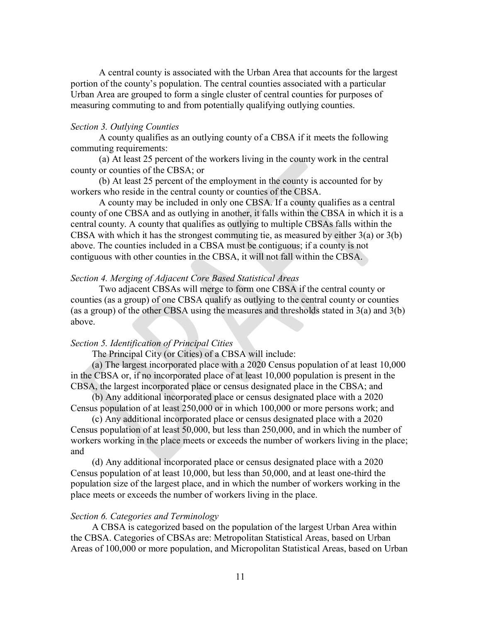A central county is associated with the Urban Area that accounts for the largest portion of the county's population. The central counties associated with a particular Urban Area are grouped to form a single cluster of central counties for purposes of measuring commuting to and from potentially qualifying outlying counties.

### *Section 3. Outlying Counties*

A county qualifies as an outlying county of a CBSA if it meets the following commuting requirements:

(a) At least 25 percent of the workers living in the county work in the central county or counties of the CBSA; or

(b) At least 25 percent of the employment in the county is accounted for by workers who reside in the central county or counties of the CBSA.

A county may be included in only one CBSA. If a county qualifies as a central county of one CBSA and as outlying in another, it falls within the CBSA in which it is a central county. A county that qualifies as outlying to multiple CBSAs falls within the CBSA with which it has the strongest commuting tie, as measured by either 3(a) or 3(b) above. The counties included in a CBSA must be contiguous; if a county is not contiguous with other counties in the CBSA, it will not fall within the CBSA.

### *Section 4. Merging of Adjacent Core Based Statistical Areas*

Two adjacent CBSAs will merge to form one CBSA if the central county or counties (as a group) of one CBSA qualify as outlying to the central county or counties (as a group) of the other CBSA using the measures and thresholds stated in 3(a) and 3(b) above.

#### *Section 5. Identification of Principal Cities*

The Principal City (or Cities) of a CBSA will include:

(a) The largest incorporated place with a 2020 Census population of at least 10,000 in the CBSA or, if no incorporated place of at least 10,000 population is present in the CBSA, the largest incorporated place or census designated place in the CBSA; and

(b) Any additional incorporated place or census designated place with a 2020 Census population of at least 250,000 or in which 100,000 or more persons work; and

(c) Any additional incorporated place or census designated place with a 2020 Census population of at least 50,000, but less than 250,000, and in which the number of workers working in the place meets or exceeds the number of workers living in the place; and

(d) Any additional incorporated place or census designated place with a 2020 Census population of at least 10,000, but less than 50,000, and at least one-third the population size of the largest place, and in which the number of workers working in the place meets or exceeds the number of workers living in the place.

#### *Section 6. Categories and Terminology*

A CBSA is categorized based on the population of the largest Urban Area within the CBSA. Categories of CBSAs are: Metropolitan Statistical Areas, based on Urban Areas of 100,000 or more population, and Micropolitan Statistical Areas, based on Urban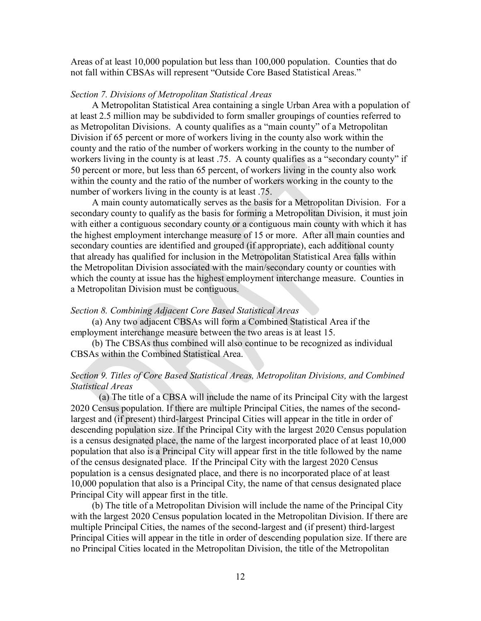Areas of at least 10,000 population but less than 100,000 population. Counties that do not fall within CBSAs will represent "Outside Core Based Statistical Areas."

#### *Section 7. Divisions of Metropolitan Statistical Areas*

A Metropolitan Statistical Area containing a single Urban Area with a population of at least 2.5 million may be subdivided to form smaller groupings of counties referred to as Metropolitan Divisions. A county qualifies as a "main county" of a Metropolitan Division if 65 percent or more of workers living in the county also work within the county and the ratio of the number of workers working in the county to the number of workers living in the county is at least .75. A county qualifies as a "secondary county" if 50 percent or more, but less than 65 percent, of workers living in the county also work within the county and the ratio of the number of workers working in the county to the number of workers living in the county is at least .75.

A main county automatically serves as the basis for a Metropolitan Division. For a secondary county to qualify as the basis for forming a Metropolitan Division, it must join with either a contiguous secondary county or a contiguous main county with which it has the highest employment interchange measure of 15 or more. After all main counties and secondary counties are identified and grouped (if appropriate), each additional county that already has qualified for inclusion in the Metropolitan Statistical Area falls within the Metropolitan Division associated with the main/secondary county or counties with which the county at issue has the highest employment interchange measure. Counties in a Metropolitan Division must be contiguous.

#### *Section 8. Combining Adjacent Core Based Statistical Areas*

(a) Any two adjacent CBSAs will form a Combined Statistical Area if the employment interchange measure between the two areas is at least 15.

(b) The CBSAs thus combined will also continue to be recognized as individual CBSAs within the Combined Statistical Area.

## *Section 9. Titles of Core Based Statistical Areas, Metropolitan Divisions, and Combined Statistical Areas*

(a) The title of a CBSA will include the name of its Principal City with the largest 2020 Census population. If there are multiple Principal Cities, the names of the secondlargest and (if present) third-largest Principal Cities will appear in the title in order of descending population size. If the Principal City with the largest 2020 Census population is a census designated place, the name of the largest incorporated place of at least 10,000 population that also is a Principal City will appear first in the title followed by the name of the census designated place. If the Principal City with the largest 2020 Census population is a census designated place, and there is no incorporated place of at least 10,000 population that also is a Principal City, the name of that census designated place Principal City will appear first in the title.

(b) The title of a Metropolitan Division will include the name of the Principal City with the largest 2020 Census population located in the Metropolitan Division. If there are multiple Principal Cities, the names of the second-largest and (if present) third-largest Principal Cities will appear in the title in order of descending population size. If there are no Principal Cities located in the Metropolitan Division, the title of the Metropolitan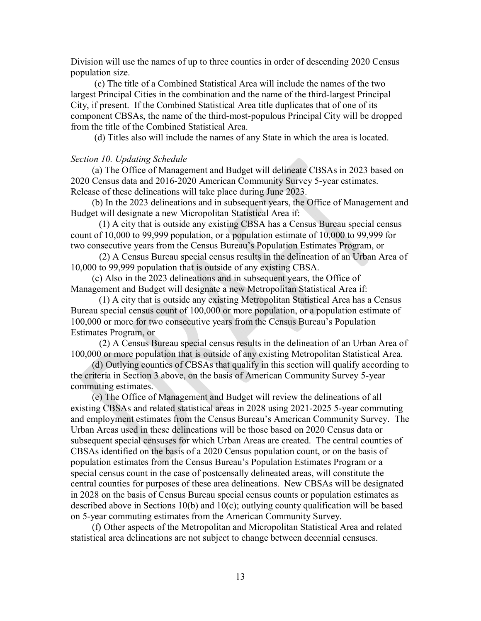Division will use the names of up to three counties in order of descending 2020 Census population size.

(c) The title of a Combined Statistical Area will include the names of the two largest Principal Cities in the combination and the name of the third-largest Principal City, if present. If the Combined Statistical Area title duplicates that of one of its component CBSAs, the name of the third-most-populous Principal City will be dropped from the title of the Combined Statistical Area.

(d) Titles also will include the names of any State in which the area is located.

#### *Section 10. Updating Schedule*

(a) The Office of Management and Budget will delineate CBSAs in 2023 based on 2020 Census data and 2016-2020 American Community Survey 5-year estimates. Release of these delineations will take place during June 2023.

(b) In the 2023 delineations and in subsequent years, the Office of Management and Budget will designate a new Micropolitan Statistical Area if:

(1) A city that is outside any existing CBSA has a Census Bureau special census count of 10,000 to 99,999 population, or a population estimate of 10,000 to 99,999 for two consecutive years from the Census Bureau's Population Estimates Program, or

 (2) A Census Bureau special census results in the delineation of an Urban Area of 10,000 to 99,999 population that is outside of any existing CBSA.

(c) Also in the 2023 delineations and in subsequent years, the Office of Management and Budget will designate a new Metropolitan Statistical Area if:

(1) A city that is outside any existing Metropolitan Statistical Area has a Census Bureau special census count of 100,000 or more population, or a population estimate of 100,000 or more for two consecutive years from the Census Bureau's Population Estimates Program, or

 (2) A Census Bureau special census results in the delineation of an Urban Area of 100,000 or more population that is outside of any existing Metropolitan Statistical Area.

(d) Outlying counties of CBSAs that qualify in this section will qualify according to the criteria in Section 3 above, on the basis of American Community Survey 5-year commuting estimates.

(e) The Office of Management and Budget will review the delineations of all existing CBSAs and related statistical areas in 2028 using 2021-2025 5-year commuting and employment estimates from the Census Bureau's American Community Survey. The Urban Areas used in these delineations will be those based on 2020 Census data or subsequent special censuses for which Urban Areas are created. The central counties of CBSAs identified on the basis of a 2020 Census population count, or on the basis of population estimates from the Census Bureau's Population Estimates Program or a special census count in the case of postcensally delineated areas, will constitute the central counties for purposes of these area delineations. New CBSAs will be designated in 2028 on the basis of Census Bureau special census counts or population estimates as described above in Sections 10(b) and 10(c); outlying county qualification will be based on 5-year commuting estimates from the American Community Survey.

(f) Other aspects of the Metropolitan and Micropolitan Statistical Area and related statistical area delineations are not subject to change between decennial censuses.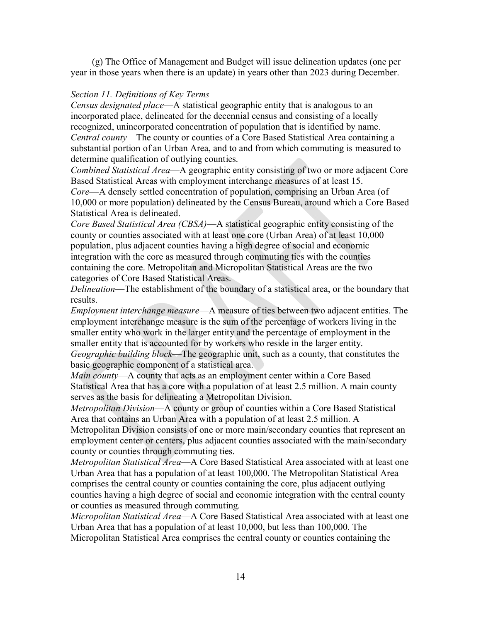(g) The Office of Management and Budget will issue delineation updates (one per year in those years when there is an update) in years other than 2023 during December.

## *Section 11. Definitions of Key Terms*

*Census designated place*—A statistical geographic entity that is analogous to an incorporated place, delineated for the decennial census and consisting of a locally recognized, unincorporated concentration of population that is identified by name. *Central county*—The county or counties of a Core Based Statistical Area containing a substantial portion of an Urban Area, and to and from which commuting is measured to determine qualification of outlying counties.

*Combined Statistical Area*—A geographic entity consisting of two or more adjacent Core Based Statistical Areas with employment interchange measures of at least 15. *Core*—A densely settled concentration of population, comprising an Urban Area (of 10,000 or more population) delineated by the Census Bureau, around which a Core Based Statistical Area is delineated.

*Core Based Statistical Area (CBSA)*—A statistical geographic entity consisting of the county or counties associated with at least one core (Urban Area) of at least 10,000 population, plus adjacent counties having a high degree of social and economic integration with the core as measured through commuting ties with the counties containing the core. Metropolitan and Micropolitan Statistical Areas are the two categories of Core Based Statistical Areas.

*Delineation*—The establishment of the boundary of a statistical area, or the boundary that results.

*Employment interchange measure*—A measure of ties between two adjacent entities. The employment interchange measure is the sum of the percentage of workers living in the smaller entity who work in the larger entity and the percentage of employment in the smaller entity that is accounted for by workers who reside in the larger entity. *Geographic building block*—The geographic unit, such as a county, that constitutes the

basic geographic component of a statistical area.

*Main county*—A county that acts as an employment center within a Core Based Statistical Area that has a core with a population of at least 2.5 million. A main county serves as the basis for delineating a Metropolitan Division.

*Metropolitan Division*—A county or group of counties within a Core Based Statistical Area that contains an Urban Area with a population of at least 2.5 million. A

Metropolitan Division consists of one or more main/secondary counties that represent an employment center or centers, plus adjacent counties associated with the main/secondary county or counties through commuting ties.

*Metropolitan Statistical Area*—A Core Based Statistical Area associated with at least one Urban Area that has a population of at least 100,000. The Metropolitan Statistical Area comprises the central county or counties containing the core, plus adjacent outlying counties having a high degree of social and economic integration with the central county or counties as measured through commuting.

*Micropolitan Statistical Area*—A Core Based Statistical Area associated with at least one Urban Area that has a population of at least 10,000, but less than 100,000. The Micropolitan Statistical Area comprises the central county or counties containing the